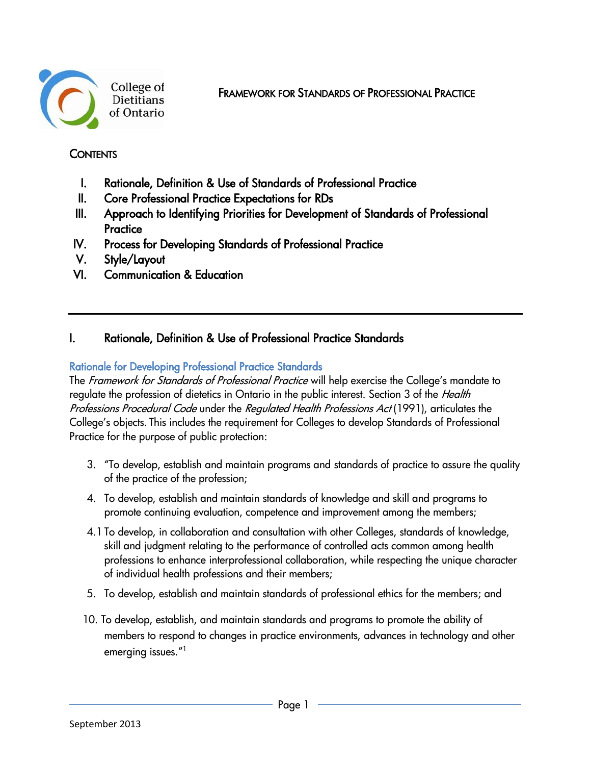

FRAMEWORK FOR STANDARDS OF PROFESSIONAL PRACTICE

## **CONTENTS**

- I. Rationale, Definition & Use of Standards of Professional Practice
- II. Core Professional Practice Expectations for RDs
- III. Approach to Identifying Priorities for Development of Standards of Professional **Practice**
- IV. Process for Developing Standards of Professional Practice
- V. Style/Layout
- VI. Communication & Education

# I. Rationale, Definition & Use of Professional Practice Standards

## Rationale for Developing Professional Practice Standards

The Framework for Standards of Professional Practice will help exercise the College's mandate to requlate the profession of dietetics in Ontario in the public interest. Section 3 of the Health Professions Procedural Code under the Regulated Health Professions Act (1991), articulates the College's objects. This includes the requirement for Colleges to develop Standards of Professional Practice for the purpose of public protection:

- 3. "To develop, establish and maintain programs and standards of practice to assure the quality of the practice of the profession;
- 4. To develop, establish and maintain standards of knowledge and skill and programs to promote continuing evaluation, competence and improvement among the members;
- 4.1 To develop, in collaboration and consultation with other Colleges, standards of knowledge, skill and judgment relating to the performance of controlled acts common among health professions to enhance interprofessional collaboration, while respecting the unique character of individual health professions and their members;
- 5. To develop, establish and maintain standards of professional ethics for the members; and
- 10. To develop, establish, and maintain standards and programs to promote the ability of members to respond to changes in practice environments, advances in technology and other emerging issues." 1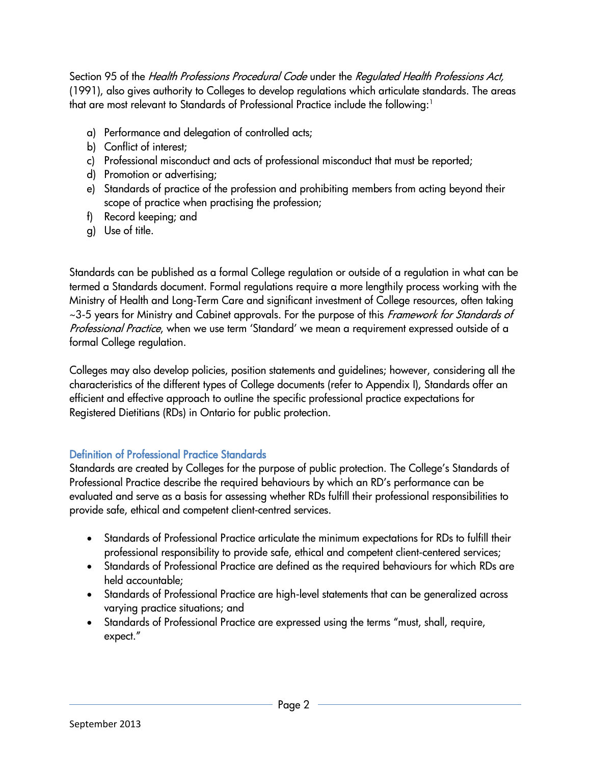Section 95 of the Health Professions Procedural Code under the Regulated Health Professions Act, (1991), also gives authority to Colleges to develop regulations which articulate standards. The areas that are most relevant to Standards of Professional Practice include the following: $1$ 

- a) Performance and delegation of controlled acts;
- b) Conflict of interest;
- c) Professional misconduct and acts of professional misconduct that must be reported;
- d) Promotion or advertising;
- e) Standards of practice of the profession and prohibiting members from acting beyond their scope of practice when practising the profession;
- f) Record keeping; and
- g) Use of title.

Standards can be published as a formal College regulation or outside of a regulation in what can be termed a Standards document. Formal regulations require a more lengthily process working with the Ministry of Health and Long-Term Care and significant investment of College resources, often taking ~3-5 years for Ministry and Cabinet approvals. For the purpose of this Framework for Standards of Professional Practice, when we use term 'Standard' we mean a requirement expressed outside of a formal College regulation.

Colleges may also develop policies, position statements and guidelines; however, considering all the characteristics of the different types of College documents (refer to Appendix I), Standards offer an efficient and effective approach to outline the specific professional practice expectations for Registered Dietitians (RDs) in Ontario for public protection.

## Definition of Professional Practice Standards

Standards are created by Colleges for the purpose of public protection. The College's Standards of Professional Practice describe the required behaviours by which an RD's performance can be evaluated and serve as a basis for assessing whether RDs fulfill their professional responsibilities to provide safe, ethical and competent client-centred services.

- Standards of Professional Practice articulate the minimum expectations for RDs to fulfill their professional responsibility to provide safe, ethical and competent client-centered services;
- Standards of Professional Practice are defined as the required behaviours for which RDs are held accountable;
- Standards of Professional Practice are high-level statements that can be generalized across varying practice situations; and
- Standards of Professional Practice are expressed using the terms "must, shall, require, expect."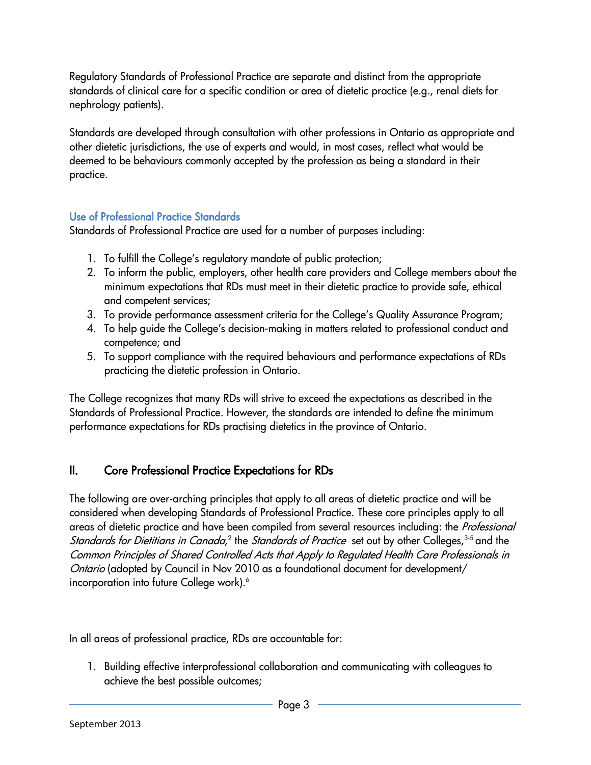Regulatory Standards of Professional Practice are separate and distinct from the appropriate standards of clinical care for a specific condition or area of dietetic practice (e.g., renal diets for nephrology patients).

Standards are developed through consultation with other professions in Ontario as appropriate and other dietetic jurisdictions, the use of experts and would, in most cases, reflect what would be deemed to be behaviours commonly accepted by the profession as being a standard in their practice.

## Use of Professional Practice Standards

Standards of Professional Practice are used for a number of purposes including:

- 1. To fulfill the College's regulatory mandate of public protection;
- 2. To inform the public, employers, other health care providers and College members about the minimum expectations that RDs must meet in their dietetic practice to provide safe, ethical and competent services;
- 3. To provide performance assessment criteria for the College's Quality Assurance Program;
- 4. To help guide the College's decision-making in matters related to professional conduct and competence; and
- 5. To support compliance with the required behaviours and performance expectations of RDs practicing the dietetic profession in Ontario.

The College recognizes that many RDs will strive to exceed the expectations as described in the Standards of Professional Practice. However, the standards are intended to define the minimum performance expectations for RDs practising dietetics in the province of Ontario.

# II. Core Professional Practice Expectations for RDs

The following are over-arching principles that apply to all areas of dietetic practice and will be considered when developing Standards of Professional Practice. These core principles apply to all areas of dietetic practice and have been compiled from several resources including: the Professional *Standards for Dietitians in Canada*,<sup>2</sup> the *Standards of Practice* set out by other Colleges,<sup>3-5</sup> and the Common Principles of Shared Controlled Acts that Apply to Regulated Health Care Professionals in Ontario (adopted by Council in Nov 2010 as a foundational document for development/ incorporation into future College work).<sup>6</sup>

In all areas of professional practice, RDs are accountable for:

1. Building effective interprofessional collaboration and communicating with colleagues to achieve the best possible outcomes;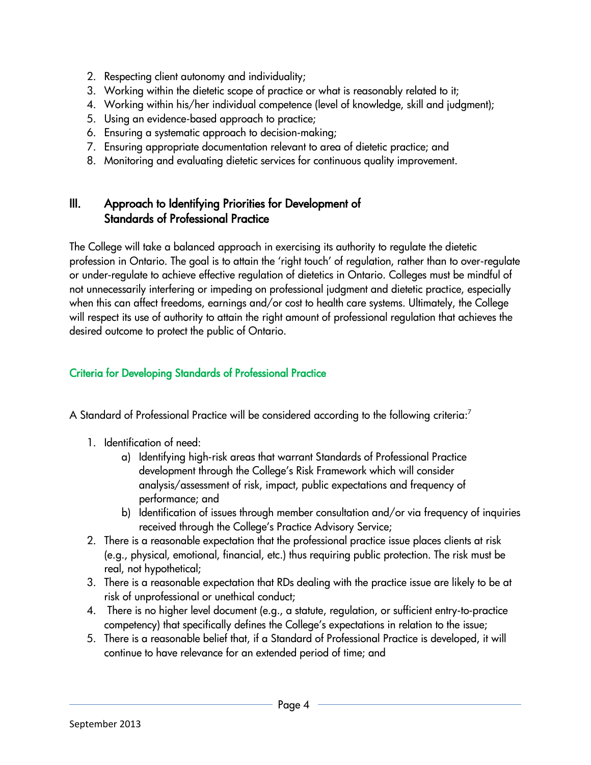- 2. Respecting client autonomy and individuality;
- 3. Working within the dietetic scope of practice or what is reasonably related to it;
- 4. Working within his/her individual competence (level of knowledge, skill and judgment);
- 5. Using an evidence-based approach to practice;
- 6. Ensuring a systematic approach to decision-making;
- 7. Ensuring appropriate documentation relevant to area of dietetic practice; and
- 8. Monitoring and evaluating dietetic services for continuous quality improvement.

# III. Approach to Identifying Priorities for Development of Standards of Professional Practice

The College will take a balanced approach in exercising its authority to regulate the dietetic profession in Ontario. The goal is to attain the 'right touch' of regulation, rather than to over-regulate or under-regulate to achieve effective regulation of dietetics in Ontario. Colleges must be mindful of not unnecessarily interfering or impeding on professional judgment and dietetic practice, especially when this can affect freedoms, earnings and/or cost to health care systems. Ultimately, the College will respect its use of authority to attain the right amount of professional regulation that achieves the desired outcome to protect the public of Ontario.

## Criteria for Developing Standards of Professional Practice

A Standard of Professional Practice will be considered according to the following criteria:<sup>7</sup>

- 1. Identification of need:
	- a) Identifying high-risk areas that warrant Standards of Professional Practice development through the College's Risk Framework which will consider analysis/assessment of risk, impact, public expectations and frequency of performance; and
	- b) Identification of issues through member consultation and/or via frequency of inquiries received through the College's Practice Advisory Service;
- 2. There is a reasonable expectation that the professional practice issue places clients at risk (e.g., physical, emotional, financial, etc.) thus requiring public protection. The risk must be real, not hypothetical;
- 3. There is a reasonable expectation that RDs dealing with the practice issue are likely to be at risk of unprofessional or unethical conduct;
- 4. There is no higher level document (e.g., a statute, regulation, or sufficient entry-to-practice competency) that specifically defines the College's expectations in relation to the issue;
- 5. There is a reasonable belief that, if a Standard of Professional Practice is developed, it will continue to have relevance for an extended period of time; and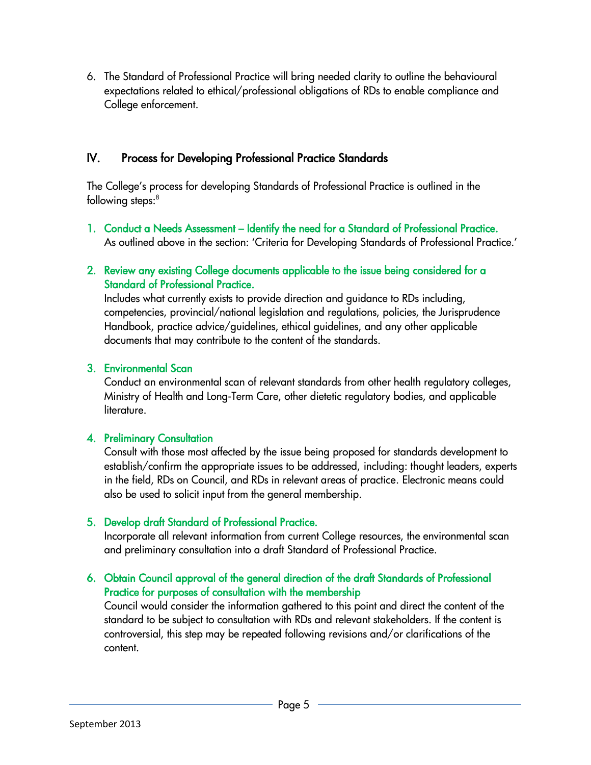6. The Standard of Professional Practice will bring needed clarity to outline the behavioural expectations related to ethical/professional obligations of RDs to enable compliance and College enforcement.

## IV. Process for Developing Professional Practice Standards

The College's process for developing Standards of Professional Practice is outlined in the following steps:<sup>8</sup>

- 1. Conduct a Needs Assessment Identify the need for a Standard of Professional Practice. As outlined above in the section: 'Criteria for Developing Standards of Professional Practice.'
- 2. Review any existing College documents applicable to the issue being considered for a Standard of Professional Practice.

Includes what currently exists to provide direction and guidance to RDs including, competencies, provincial/national legislation and regulations, policies, the Jurisprudence Handbook, practice advice/guidelines, ethical guidelines, and any other applicable documents that may contribute to the content of the standards.

## 3. Environmental Scan

Conduct an environmental scan of relevant standards from other health regulatory colleges, Ministry of Health and Long-Term Care, other dietetic regulatory bodies, and applicable literature.

## 4. Preliminary Consultation

Consult with those most affected by the issue being proposed for standards development to establish/confirm the appropriate issues to be addressed, including: thought leaders, experts in the field, RDs on Council, and RDs in relevant areas of practice. Electronic means could also be used to solicit input from the general membership.

## 5. Develop draft Standard of Professional Practice.

Incorporate all relevant information from current College resources, the environmental scan and preliminary consultation into a draft Standard of Professional Practice.

## 6. Obtain Council approval of the general direction of the draft Standards of Professional Practice for purposes of consultation with the membership

Council would consider the information gathered to this point and direct the content of the standard to be subject to consultation with RDs and relevant stakeholders. If the content is controversial, this step may be repeated following revisions and/or clarifications of the content.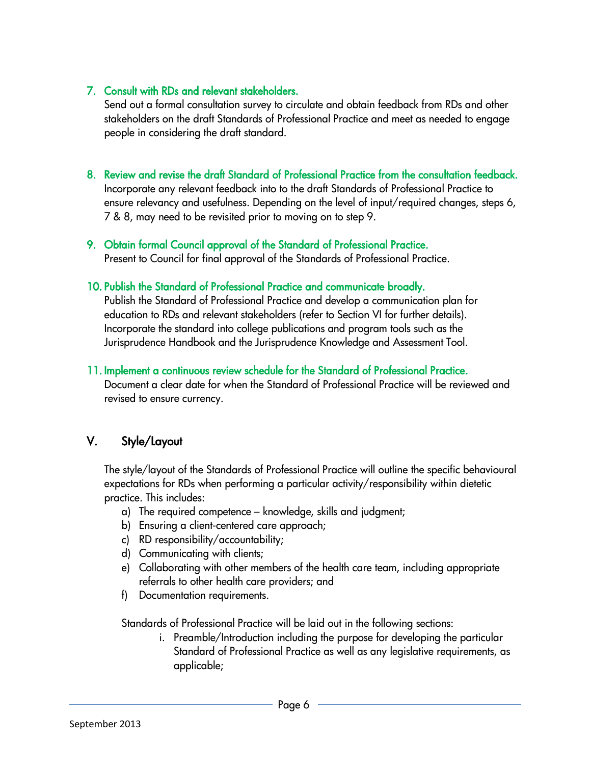## 7. Consult with RDs and relevant stakeholders.

Send out a formal consultation survey to circulate and obtain feedback from RDs and other stakeholders on the draft Standards of Professional Practice and meet as needed to engage people in considering the draft standard.

#### 8. Review and revise the draft Standard of Professional Practice from the consultation feedback.

Incorporate any relevant feedback into to the draft Standards of Professional Practice to ensure relevancy and usefulness. Depending on the level of input/required changes, steps 6, 7 & 8, may need to be revisited prior to moving on to step 9.

## 9. Obtain formal Council approval of the Standard of Professional Practice.

Present to Council for final approval of the Standards of Professional Practice.

## 10. Publish the Standard of Professional Practice and communicate broadly.

Publish the Standard of Professional Practice and develop a communication plan for education to RDs and relevant stakeholders (refer to Section VI for further details). Incorporate the standard into college publications and program tools such as the Jurisprudence Handbook and the Jurisprudence Knowledge and Assessment Tool.

#### 11. Implement a continuous review schedule for the Standard of Professional Practice.

Document a clear date for when the Standard of Professional Practice will be reviewed and revised to ensure currency.

## V. Style/Layout

The style/layout of the Standards of Professional Practice will outline the specific behavioural expectations for RDs when performing a particular activity/responsibility within dietetic practice. This includes:

- a) The required competence knowledge, skills and judgment;
- b) Ensuring a client-centered care approach;
- c) RD responsibility/accountability;
- d) Communicating with clients;
- e) Collaborating with other members of the health care team, including appropriate referrals to other health care providers; and
- f) Documentation requirements.

Standards of Professional Practice will be laid out in the following sections:

i. Preamble/Introduction including the purpose for developing the particular Standard of Professional Practice as well as any legislative requirements, as applicable;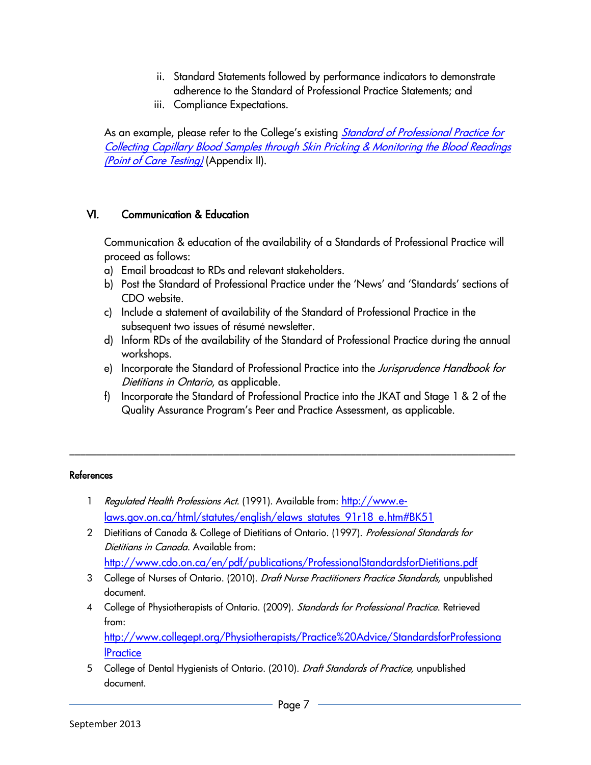- ii. Standard Statements followed by performance indicators to demonstrate adherence to the Standard of Professional Practice Statements; and
- iii. Compliance Expectations.

As an example, please refer to the College's existing *Standard of Professional Practice for* [Collecting Capillary Blood Samples through Skin Pricking & Monitoring the Blood Readings](http://www.cdo.on.ca/en/pdf/Resources/Practice%20Standards%20&%20Resounces/STANDARD%20OF%20PROFESSIONAL%20PRACTICE%20Skin%20Pricking.pdf)  [\(Point of Care Testing\)](http://www.cdo.on.ca/en/pdf/Resources/Practice%20Standards%20&%20Resounces/STANDARD%20OF%20PROFESSIONAL%20PRACTICE%20Skin%20Pricking.pdf) (Appendix II).

## VI. Communication & Education

Communication & education of the availability of a Standards of Professional Practice will proceed as follows:

- a) Email broadcast to RDs and relevant stakeholders.
- b) Post the Standard of Professional Practice under the 'News' and 'Standards' sections of CDO website.
- c) Include a statement of availability of the Standard of Professional Practice in the subsequent two issues of résumé newsletter.
- d) Inform RDs of the availability of the Standard of Professional Practice during the annual workshops.
- e) Incorporate the Standard of Professional Practice into the Jurisprudence Handbook for Dietitians in Ontario, as applicable.
- f) Incorporate the Standard of Professional Practice into the JKAT and Stage 1 & 2 of the Quality Assurance Program's Peer and Practice Assessment, as applicable.

\_\_\_\_\_\_\_\_\_\_\_\_\_\_\_\_\_\_\_\_\_\_\_\_\_\_\_\_\_\_\_\_\_\_\_\_\_\_\_\_\_\_\_\_\_\_\_\_\_\_\_\_\_\_\_\_\_\_\_\_\_\_\_\_\_\_\_\_\_\_\_\_\_\_\_\_\_\_\_\_\_\_\_\_

#### **References**

- 1 Regulated Health Professions Act. (1991). Available from: [http://www.e](http://www.e-laws.gov.on.ca/html/statutes/english/elaws_statutes_91r18_e.htm#BK51)[laws.gov.on.ca/html/statutes/english/elaws\\_statutes\\_91r18\\_e.htm#BK51](http://www.e-laws.gov.on.ca/html/statutes/english/elaws_statutes_91r18_e.htm#BK51)
- 2 Dietitians of Canada & College of Dietitians of Ontario. (1997). Professional Standards for Dietitians in Canada. Available from:
	- <http://www.cdo.on.ca/en/pdf/publications/ProfessionalStandardsforDietitians.pdf>
- 3 College of Nurses of Ontario. (2010). Draft Nurse Practitioners Practice Standards, unpublished document.
- 4 College of Physiotherapists of Ontario. (2009). Standards for Professional Practice. Retrieved from: [http://www.collegept.org/Physiotherapists/Practice%20Advice/StandardsforProfessiona](http://www.collegept.org/Physiotherapists/Practice%20Advice/StandardsforProfessionalPractice)

**IPractice** 

5 College of Dental Hygienists of Ontario. (2010). Draft Standards of Practice, unpublished document.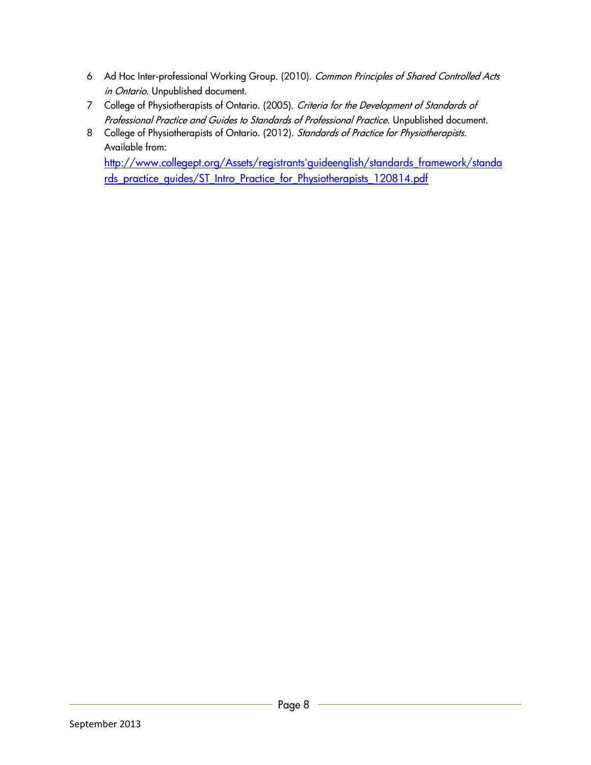- 6 Ad Hoc Inter-professional Working Group. (2010). Common Principles of Shared Controlled Acts in Ontario. Unpublished document.
- 7 College of Physiotherapists of Ontario. (2005). Criteria for the Development of Standards of Professional Practice and Guides to Standards of Professional Practice. Unpublished document.
- 8 College of Physiotherapists of Ontario. (2012). Standards of Practice for Physiotherapists. Available from:

[http://www.collegept.org/Assets/registrants'guideenglish/standards\\_framework/standa](http://www.collegept.org/Assets/registrants) [rds\\_practice\\_guides/ST\\_Intro\\_Practice\\_for\\_Physiotherapists\\_120814.pdf](http://www.collegept.org/Assets/registrants)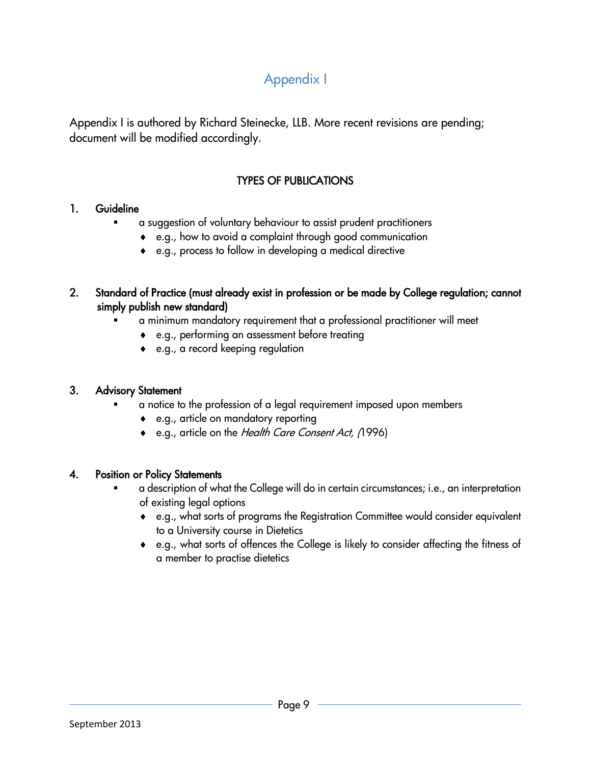# Appendix I

Appendix I is authored by Richard Steinecke, LLB. More recent revisions are pending; document will be modified accordingly.

# TYPES OF PUBLICATIONS

## 1. Guideline

- a suggestion of voluntary behaviour to assist prudent practitioners
	- e.g., how to avoid a complaint through good communication
	- e.g., process to follow in developing a medical directive

## 2. Standard of Practice (must already exist in profession or be made by College regulation; cannot simply publish new standard)

- a minimum mandatory requirement that a professional practitioner will meet
	- e.g., performing an assessment before treating
	- e.g., a record keeping regulation

## 3. Advisory Statement

- a notice to the profession of a legal requirement imposed upon members
	- e.g., article on mandatory reporting
	- e.g., article on the Health Care Consent Act, (1996)

## 4. Position or Policy Statements

- a description of what the College will do in certain circumstances; i.e., an interpretation of existing legal options
	- e.g., what sorts of programs the Registration Committee would consider equivalent to a University course in Dietetics
	- e.g., what sorts of offences the College is likely to consider affecting the fitness of a member to practise dietetics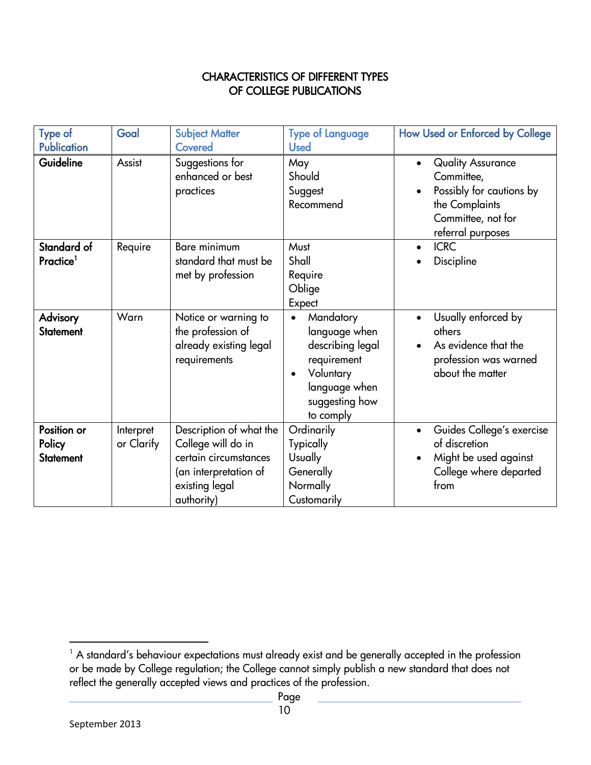## CHARACTERISTICS OF DIFFERENT TYPES OF COLLEGE PUBLICATIONS

| <b>Type of</b><br><b>Publication</b>      | Goal                    | <b>Subject Matter</b><br>Covered                                                                                                | <b>Type of Language</b><br><b>Used</b>                                                                                                  | How Used or Enforced by College                                                                                                 |
|-------------------------------------------|-------------------------|---------------------------------------------------------------------------------------------------------------------------------|-----------------------------------------------------------------------------------------------------------------------------------------|---------------------------------------------------------------------------------------------------------------------------------|
| Guideline                                 | Assist                  | Suggestions for<br>enhanced or best<br>practices                                                                                | May<br>Should<br>Suggest<br>Recommend                                                                                                   | <b>Quality Assurance</b><br>Committee,<br>Possibly for cautions by<br>the Complaints<br>Committee, not for<br>referral purposes |
| Standard of<br>Practice <sup>1</sup>      | Require                 | <b>Bare minimum</b><br>standard that must be<br>met by profession                                                               | Must<br>Shall<br>Require<br>Oblige<br>Expect                                                                                            | <b>ICRC</b><br>Discipline                                                                                                       |
| <b>Advisory</b><br><b>Statement</b>       | Warn                    | Notice or warning to<br>the profession of<br>already existing legal<br>requirements                                             | Mandatory<br>$\bullet$<br>language when<br>describing legal<br>requirement<br>Voluntary<br>language when<br>suggesting how<br>to comply | Usually enforced by<br>others<br>As evidence that the<br>profession was warned<br>about the matter                              |
| Position or<br>Policy<br><b>Statement</b> | Interpret<br>or Clarify | Description of what the<br>College will do in<br>certain circumstances<br>(an interpretation of<br>existing legal<br>authority) | Ordinarily<br><b>Typically</b><br><b>Usually</b><br>Generally<br>Normally<br>Customarily                                                | Guides College's exercise<br>of discretion<br>Might be used against<br>College where departed<br>from                           |

 $\overline{\phantom{a}}$  $1$  A standard's behaviour expectations must already exist and be generally accepted in the profession or be made by College regulation; the College cannot simply publish a new standard that does not reflect the generally accepted views and practices of the profession.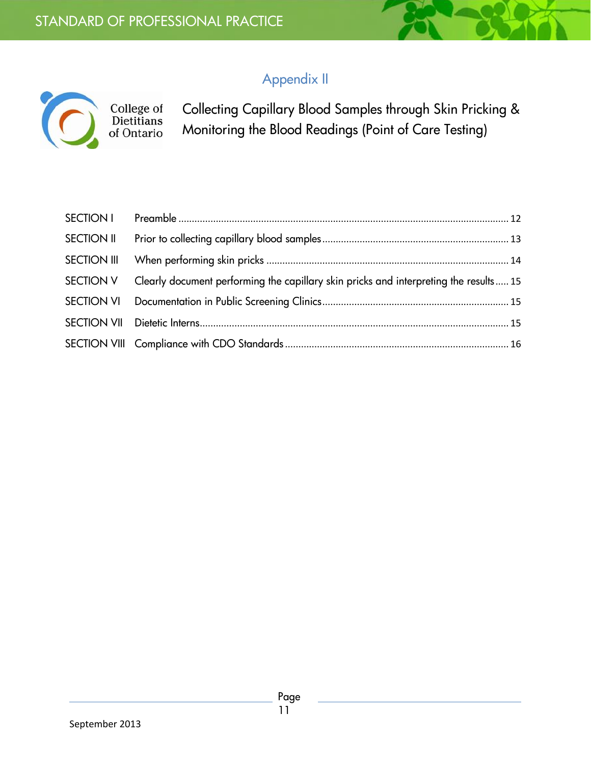College of<br>Dietitians<br>of Ontario

Collecting Capillary Blood Samples through Skin Pricking & Monitoring the Blood Readings (Point of Care Testing)

<span id="page-10-0"></span>

| SECTION II         |                                                                                       |  |
|--------------------|---------------------------------------------------------------------------------------|--|
| <b>SECTION III</b> |                                                                                       |  |
| SECTION V          | Clearly document performing the capillary skin pricks and interpreting the results 15 |  |
|                    |                                                                                       |  |
|                    |                                                                                       |  |
|                    |                                                                                       |  |

Appendix II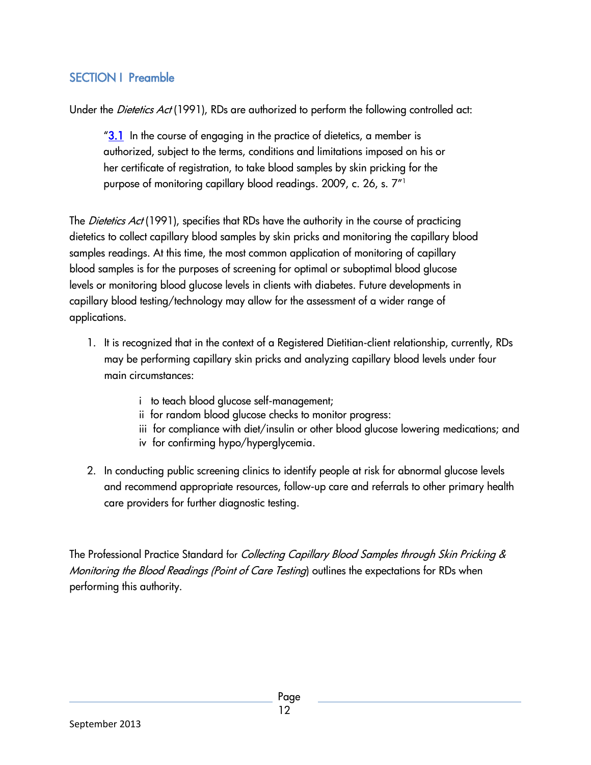# SECTION I Preamble

Under the *Dietetics Act* (1991), RDs are authorized to perform the following controlled act:

 $"3.1$  In the course of engaging in the practice of dietetics, a member is authorized, subject to the terms, conditions and limitations imposed on his or her certificate of registration, to take blood samples by skin pricking for the purpose of monitoring capillary blood readings. 2009, c. 26, s. 7"<sup>1</sup>

The *Dietetics Act* (1991), specifies that RDs have the authority in the course of practicing dietetics to collect capillary blood samples by skin pricks and monitoring the capillary blood samples readings. At this time, the most common application of monitoring of capillary blood samples is for the purposes of screening for optimal or suboptimal blood glucose levels or monitoring blood glucose levels in clients with diabetes. Future developments in capillary blood testing/technology may allow for the assessment of a wider range of applications.

- 1. It is recognized that in the context of a Registered Dietitian-client relationship, currently, RDs may be performing capillary skin pricks and analyzing capillary blood levels under four main circumstances:
	- i to teach blood glucose self-management;
	- ii for random blood glucose checks to monitor progress:
	- iii for compliance with diet/insulin or other blood glucose lowering medications; and
	- iv for confirming hypo/hyperglycemia.
- 2. In conducting public screening clinics to identify people at risk for abnormal glucose levels and recommend appropriate resources, follow-up care and referrals to other primary health care providers for further diagnostic testing.

<span id="page-11-0"></span>The Professional Practice Standard for Collecting Capillary Blood Samples through Skin Pricking & Monitoring the Blood Readings (Point of Care Testing) outlines the expectations for RDs when performing this authority.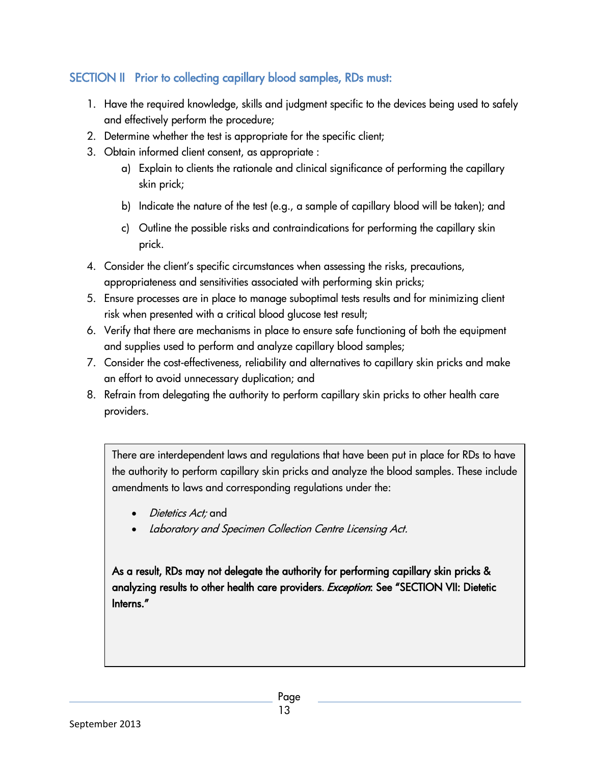# SECTION II Prior to collecting capillary blood samples, RDs must:

- 1. Have the required knowledge, skills and judgment specific to the devices being used to safely and effectively perform the procedure;
- 2. Determine whether the test is appropriate for the specific client;
- 3. Obtain informed client consent, as appropriate :
	- a) Explain to clients the rationale and clinical significance of performing the capillary skin prick;
	- b) Indicate the nature of the test (e.g., a sample of capillary blood will be taken); and
	- c) Outline the possible risks and contraindications for performing the capillary skin prick.
- 4. Consider the client's specific circumstances when assessing the risks, precautions, appropriateness and sensitivities associated with performing skin pricks;
- 5. Ensure processes are in place to manage suboptimal tests results and for minimizing client risk when presented with a critical blood glucose test result;
- 6. Verify that there are mechanisms in place to ensure safe functioning of both the equipment and supplies used to perform and analyze capillary blood samples;
- 7. Consider the cost-effectiveness, reliability and alternatives to capillary skin pricks and make an effort to avoid unnecessary duplication; and
- 8. Refrain from delegating the authority to perform capillary skin pricks to other health care providers.

There are interdependent laws and regulations that have been put in place for RDs to have the authority to perform capillary skin pricks and analyze the blood samples. These include amendments to laws and corresponding regulations under the:

- Dietetics Act; and
- Laboratory and Specimen Collection Centre Licensing Act.

<span id="page-12-0"></span>As a result, RDs may not delegate the authority for performing capillary skin pricks & analyzing results to other health care providers. Exception: See "SECTION VII: Dietetic Interns."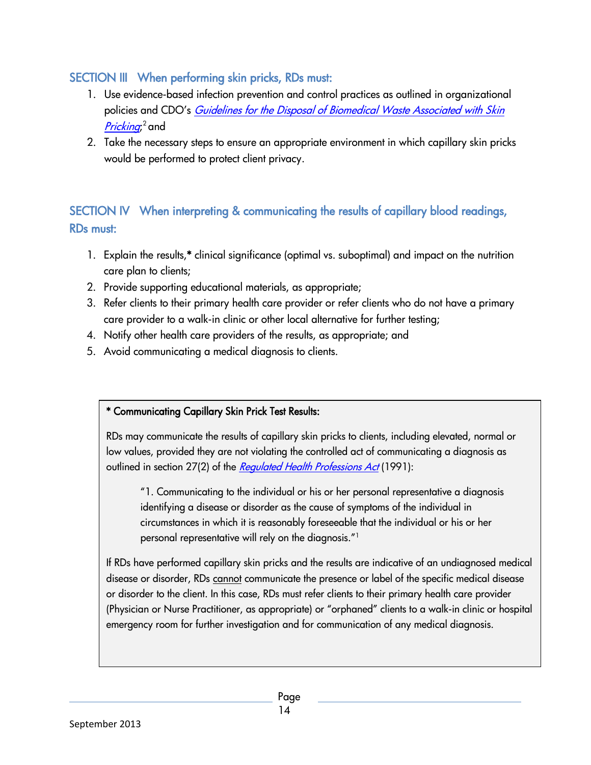# SECTION III When performing skin pricks, RDs must:

- 1. Use evidence-based infection prevention and control practices as outlined in organizational policies and CDO's *Guidelines for the Disposal of Biomedical Waste Associated with Skin [Pricking](http://www.cdo.on.ca/en/pdf/Resources/Practice%20Standards%20&%20Resounces/Guidelines%20for%20Medical%20Waste%20Disposal%20FINAL.pdf);*<sup>2</sup> and
- 2. Take the necessary steps to ensure an appropriate environment in which capillary skin pricks would be performed to protect client privacy.

# SECTION IV When interpreting & communicating the results of capillary blood readings, RDs must:

- 1. Explain the results,\* clinical significance (optimal vs. suboptimal) and impact on the nutrition care plan to clients;
- 2. Provide supporting educational materials, as appropriate;
- 3. Refer clients to their primary health care provider or refer clients who do not have a primary care provider to a walk-in clinic or other local alternative for further testing;
- 4. Notify other health care providers of the results, as appropriate; and
- 5. Avoid communicating a medical diagnosis to clients.

## \* Communicating Capillary Skin Prick Test Results:

RDs may communicate the results of capillary skin pricks to clients, including elevated, normal or low values, provided they are not violating the controlled act of communicating a diagnosis as outlined in section 27(2) of the [Regulated Health Professions Act](http://www.e-laws.gov.on.ca/html/statutes/english/elaws_statutes_91r18_e.htm) (1991):

"1. Communicating to the individual or his or her personal representative a diagnosis identifying a disease or disorder as the cause of symptoms of the individual in circumstances in which it is reasonably foreseeable that the individual or his or her personal representative will rely on the diagnosis."<sup>1</sup>

If RDs have performed capillary skin pricks and the results are indicative of an undiagnosed medical disease or disorder, RDs cannot communicate the presence or label of the specific medical disease or disorder to the client. In this case, RDs must refer clients to their primary health care provider (Physician or Nurse Practitioner, as appropriate) or "orphaned" clients to a walk-in clinic or hospital emergency room for further investigation and for communication of any medical diagnosis.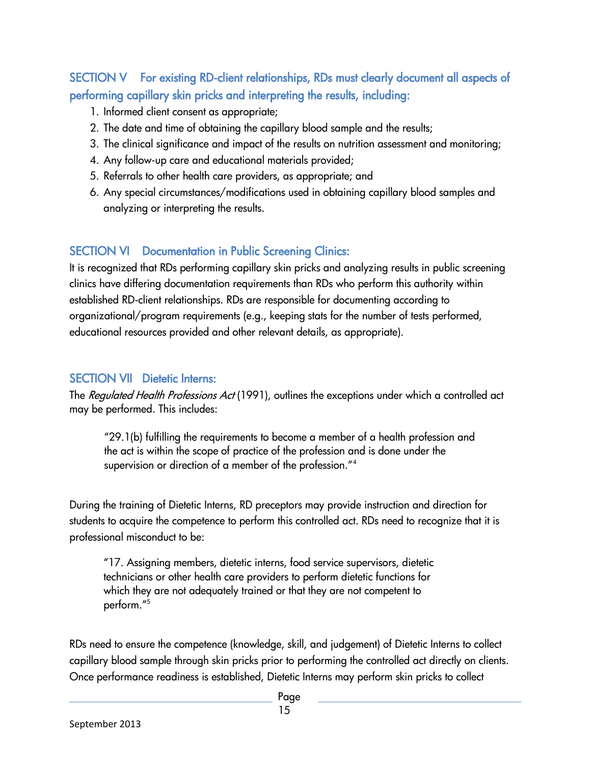# <span id="page-14-0"></span>SECTION V For existing RD-client relationships, RDs must clearly document all aspects of performing capillary skin pricks and interpreting the results, including:

- 1. Informed client consent as appropriate;
- 2. The date and time of obtaining the capillary blood sample and the results;
- 3. The clinical significance and impact of the results on nutrition assessment and monitoring;
- 4. Any follow-up care and educational materials provided;
- 5. Referrals to other health care providers, as appropriate; and
- 6. Any special circumstances/modifications used in obtaining capillary blood samples and analyzing or interpreting the results.

# <span id="page-14-1"></span>SECTION VI Documentation in Public Screening Clinics:

It is recognized that RDs performing capillary skin pricks and analyzing results in public screening clinics have differing documentation requirements than RDs who perform this authority within established RD-client relationships. RDs are responsible for documenting according to organizational/program requirements (e.g., keeping stats for the number of tests performed, educational resources provided and other relevant details, as appropriate).

# <span id="page-14-2"></span>SECTION VII Dietetic Interns:

The Regulated Health Professions Act (1991), outlines the exceptions under which a controlled act may be performed. This includes:

"29.1(b) fulfilling the requirements to become a member of a health profession and the act is within the scope of practice of the profession and is done under the supervision or direction of a member of the profession."<sup>4</sup>

During the training of Dietetic Interns, RD preceptors may provide instruction and direction for students to acquire the competence to perform this controlled act. RDs need to recognize that it is professional misconduct to be:

"17. Assigning members, dietetic interns, food service supervisors, dietetic technicians or other health care providers to perform dietetic functions for which they are not adequately trained or that they are not competent to perform."<sup>5</sup>

RDs need to ensure the competence (knowledge, skill, and judgement) of Dietetic Interns to collect capillary blood sample through skin pricks prior to performing the controlled act directly on clients. Once performance readiness is established, Dietetic Interns may perform skin pricks to collect